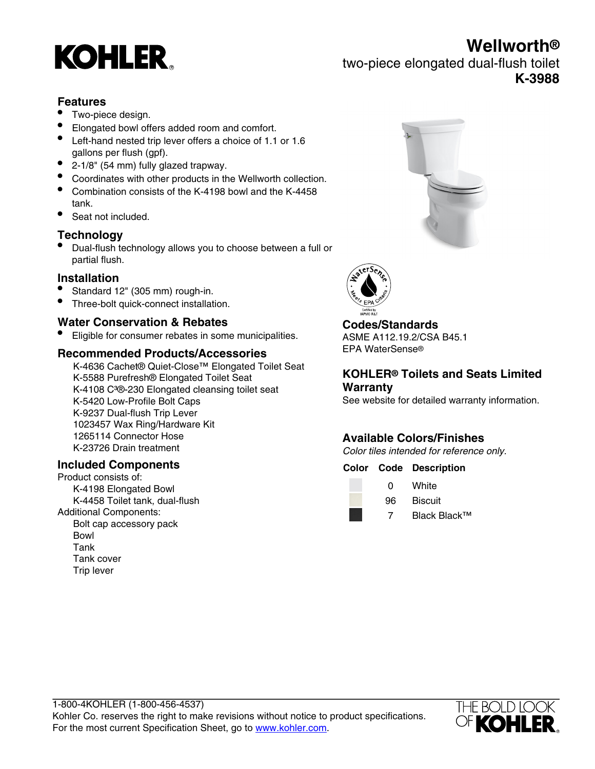# **KOHLER**

**Wellworth®**

two-piece elongated dual-flush toilet **K-3988**

## **Features**

- Two-piece design.
- Elongated bowl offers added room and comfort.
- Left-hand nested trip lever offers a choice of 1.1 or 1.6 gallons per flush (gpf).
- 2-1/8" (54 mm) fully glazed trapway.
- Coordinates with other products in the Wellworth collection.
- Combination consists of the K-4198 bowl and the K-4458 tank.
- Seat not included.

# **Technology**

• Dual-flush technology allows you to choose between a full or partial flush.

## **Installation**

- Standard 12" (305 mm) rough-in.
- Three-bolt quick-connect installation.

## **Water Conservation & Rebates**

• Eligible for consumer rebates in some municipalities.

## **Recommended Products/Accessories**

K-4636 Cachet® Quiet-Close™ Elongated Toilet Seat K-5588 Purefresh® Elongated Toilet Seat K-4108 C<sup>3</sup>®-230 Elongated cleansing toilet seat K-5420 Low-Profile Bolt Caps K-9237 Dual-flush Trip Lever 1023457 Wax Ring/Hardware Kit 1265114 Connector Hose K-23726 Drain treatment

## **Included Components**

Product consists of: K-4198 Elongated Bowl K-4458 Toilet tank, dual-flush Additional Components: Bolt cap accessory pack Bowl Tank Tank cover Trip lever





# **Codes/Standards**

ASME A112.19.2/CSA B45.1 EPA WaterSense®

## **KOHLER® Toilets and Seats Limited Warranty**

See website for detailed warranty information.

# **Available Colors/Finishes**

Color tiles intended for reference only.

#### **Color Code Description**

| O  | White          |
|----|----------------|
| 96 | <b>Biscuit</b> |

7 Black Black™